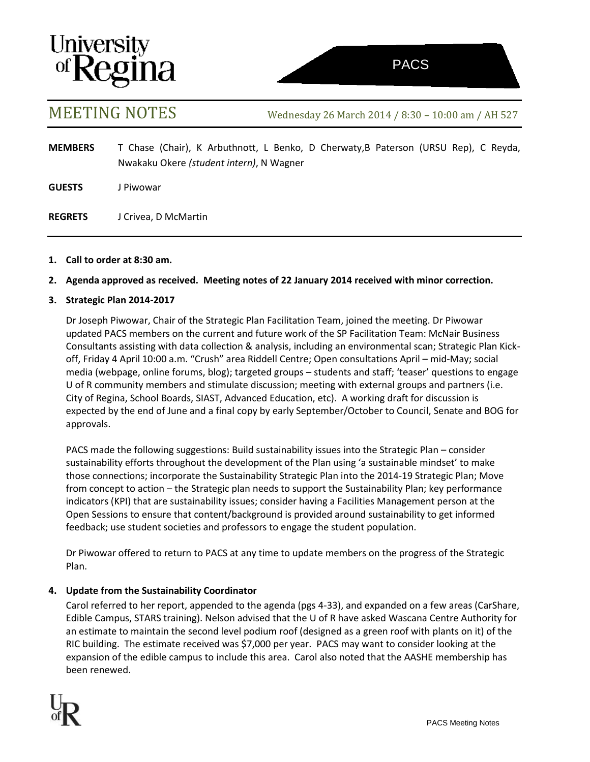# **University<br>of Regina**

MEETING NOTES Wednesday <sup>26</sup> March <sup>2014</sup> / 8:30 – 10:00 am / AH <sup>527</sup>

**MEMBERS** T Chase (Chair), K Arbuthnott, L Benko, D Cherwaty,B Paterson (URSU Rep), C Reyda, Nwakaku Okere *(student intern)*, N Wagner

**GUESTS** J Piwowar

**REGRETS** J Crivea, D McMartin

# **1. Call to order at 8:30 am.**

# **2. Agenda approved as received. Meeting notes of 22 January 2014 received with minor correction.**

# **3. Strategic Plan 2014-2017**

Dr Joseph Piwowar, Chair of the Strategic Plan Facilitation Team, joined the meeting. Dr Piwowar updated PACS members on the current and future work of the SP Facilitation Team: McNair Business Consultants assisting with data collection & analysis, including an environmental scan; Strategic Plan Kickoff, Friday 4 April 10:00 a.m. "Crush" area Riddell Centre; Open consultations April – mid-May; social media (webpage, online forums, blog); targeted groups – students and staff; 'teaser' questions to engage U of R community members and stimulate discussion; meeting with external groups and partners (i.e. City of Regina, School Boards, SIAST, Advanced Education, etc). A working draft for discussion is expected by the end of June and a final copy by early September/October to Council, Senate and BOG for approvals.

PACS made the following suggestions: Build sustainability issues into the Strategic Plan – consider sustainability efforts throughout the development of the Plan using 'a sustainable mindset' to make those connections; incorporate the Sustainability Strategic Plan into the 2014-19 Strategic Plan; Move from concept to action – the Strategic plan needs to support the Sustainability Plan; key performance indicators (KPI) that are sustainability issues; consider having a Facilities Management person at the Open Sessions to ensure that content/background is provided around sustainability to get informed feedback; use student societies and professors to engage the student population.

Dr Piwowar offered to return to PACS at any time to update members on the progress of the Strategic Plan.

# **4. Update from the Sustainability Coordinator**

Carol referred to her report, appended to the agenda (pgs 4-33), and expanded on a few areas (CarShare, Edible Campus, STARS training). Nelson advised that the U of R have asked Wascana Centre Authority for an estimate to maintain the second level podium roof (designed as a green roof with plants on it) of the RIC building. The estimate received was \$7,000 per year. PACS may want to consider looking at the expansion of the edible campus to include this area. Carol also noted that the AASHE membership has been renewed.